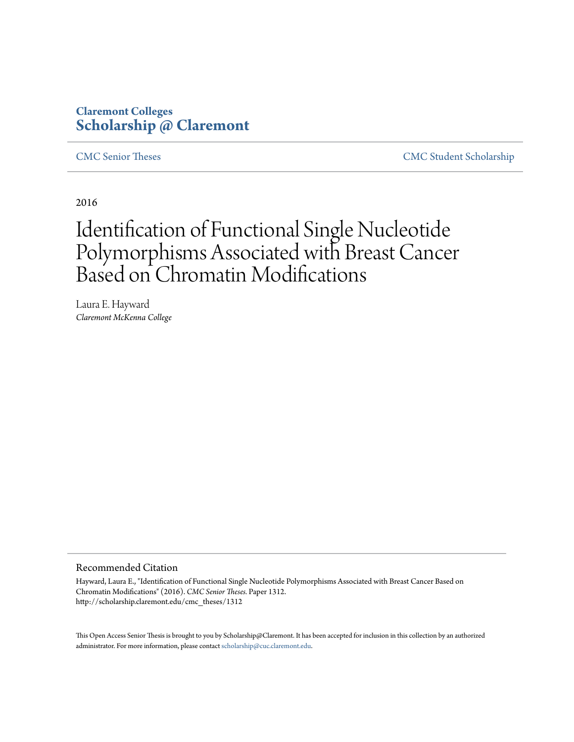# **Claremont Colleges [Scholarship @ Claremont](http://scholarship.claremont.edu)**

[CMC Senior Theses](http://scholarship.claremont.edu/cmc_theses) [CMC Student Scholarship](http://scholarship.claremont.edu/cmc_student)

2016

# Identification of Functional Single Nucleotide Polymorphisms Associated with Breast Cancer Based on Chromatin Modifications

Laura E. Hayward *Claremont McKenna College*

#### Recommended Citation

Hayward, Laura E., "Identification of Functional Single Nucleotide Polymorphisms Associated with Breast Cancer Based on Chromatin Modifications" (2016). *CMC Senior Theses.* Paper 1312. http://scholarship.claremont.edu/cmc\_theses/1312

This Open Access Senior Thesis is brought to you by Scholarship@Claremont. It has been accepted for inclusion in this collection by an authorized administrator. For more information, please contact [scholarship@cuc.claremont.edu.](mailto:scholarship@cuc.claremont.edu)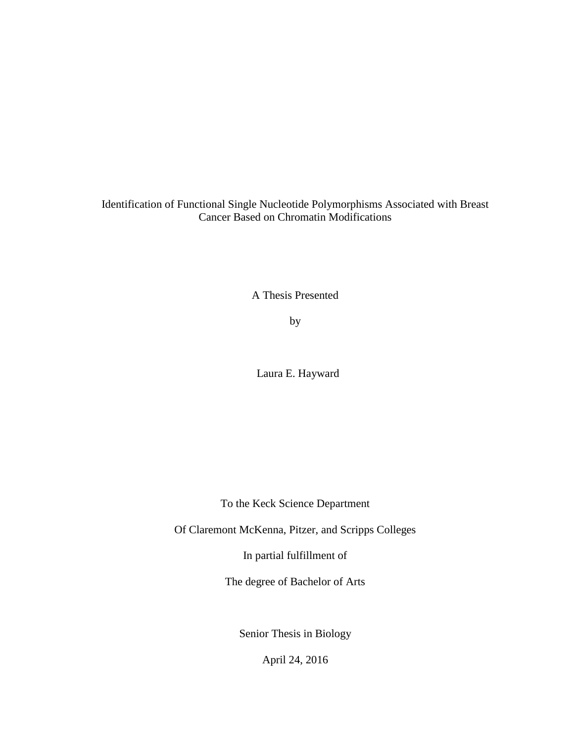Identification of Functional Single Nucleotide Polymorphisms Associated with Breast Cancer Based on Chromatin Modifications

A Thesis Presented

by

Laura E. Hayward

To the Keck Science Department

Of Claremont McKenna, Pitzer, and Scripps Colleges

In partial fulfillment of

The degree of Bachelor of Arts

Senior Thesis in Biology

April 24, 2016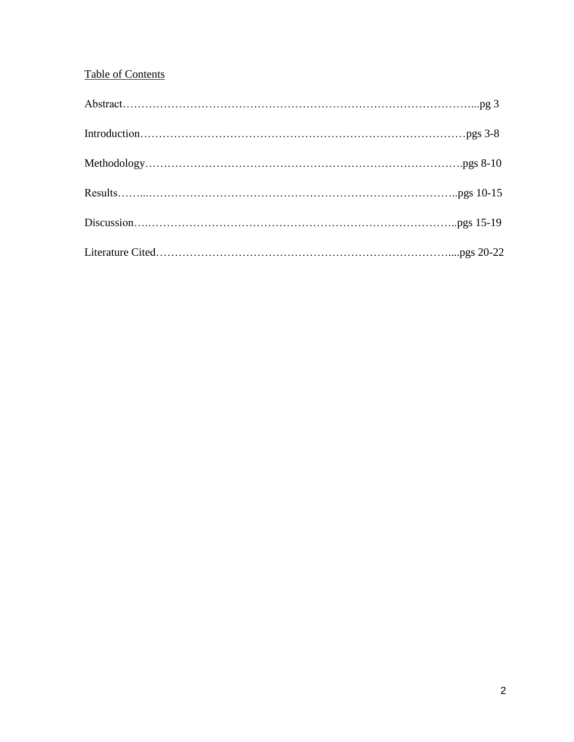## Table of Contents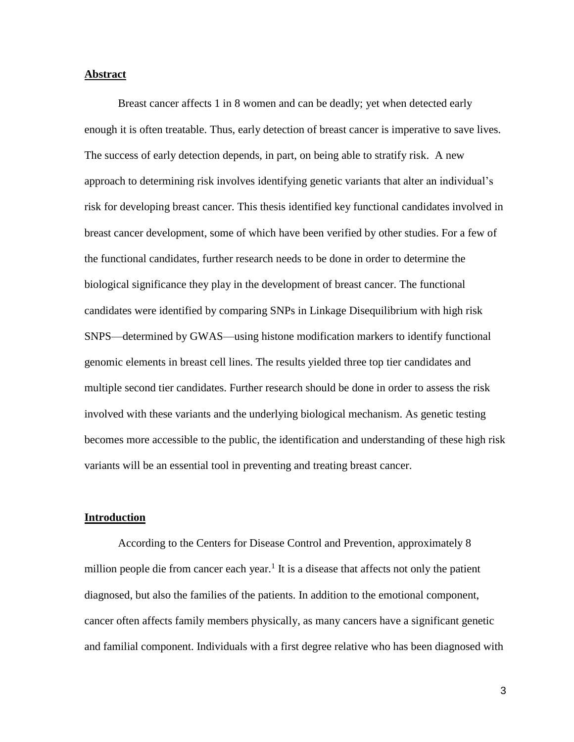#### **Abstract**

Breast cancer affects 1 in 8 women and can be deadly; yet when detected early enough it is often treatable. Thus, early detection of breast cancer is imperative to save lives. The success of early detection depends, in part, on being able to stratify risk. A new approach to determining risk involves identifying genetic variants that alter an individual's risk for developing breast cancer. This thesis identified key functional candidates involved in breast cancer development, some of which have been verified by other studies. For a few of the functional candidates, further research needs to be done in order to determine the biological significance they play in the development of breast cancer. The functional candidates were identified by comparing SNPs in Linkage Disequilibrium with high risk SNPS—determined by GWAS—using histone modification markers to identify functional genomic elements in breast cell lines. The results yielded three top tier candidates and multiple second tier candidates. Further research should be done in order to assess the risk involved with these variants and the underlying biological mechanism. As genetic testing becomes more accessible to the public, the identification and understanding of these high risk variants will be an essential tool in preventing and treating breast cancer.

#### **Introduction**

According to the Centers for Disease Control and Prevention, approximately 8 million people die from cancer each year.<sup>1</sup> It is a disease that affects not only the patient diagnosed, but also the families of the patients. In addition to the emotional component, cancer often affects family members physically, as many cancers have a significant genetic and familial component. Individuals with a first degree relative who has been diagnosed with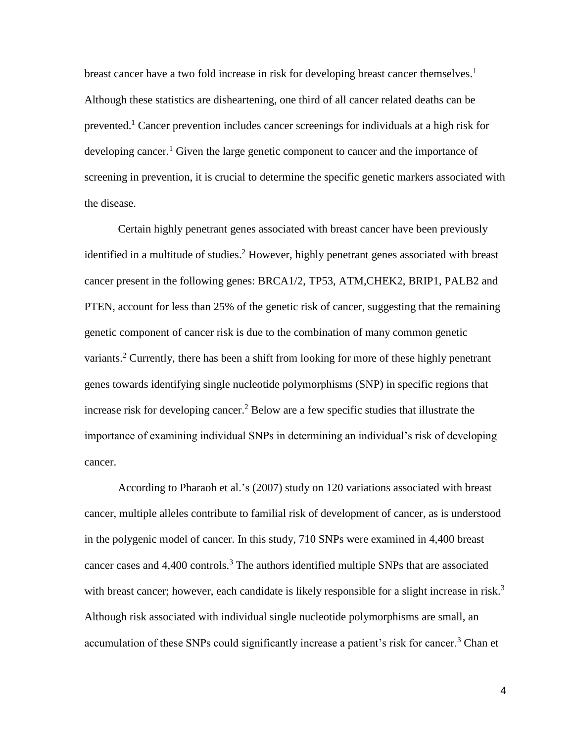breast cancer have a two fold increase in risk for developing breast cancer themselves.<sup>1</sup> Although these statistics are disheartening, one third of all cancer related deaths can be prevented.<sup>1</sup> Cancer prevention includes cancer screenings for individuals at a high risk for developing cancer.<sup>1</sup> Given the large genetic component to cancer and the importance of screening in prevention, it is crucial to determine the specific genetic markers associated with the disease.

Certain highly penetrant genes associated with breast cancer have been previously identified in a multitude of studies.<sup>2</sup> However, highly penetrant genes associated with breast cancer present in the following genes: BRCA1/2, TP53, ATM,CHEK2, BRIP1, PALB2 and PTEN, account for less than 25% of the genetic risk of cancer, suggesting that the remaining genetic component of cancer risk is due to the combination of many common genetic variants.<sup>2</sup> Currently, there has been a shift from looking for more of these highly penetrant genes towards identifying single nucleotide polymorphisms (SNP) in specific regions that increase risk for developing cancer.<sup>2</sup> Below are a few specific studies that illustrate the importance of examining individual SNPs in determining an individual's risk of developing cancer.

According to Pharaoh et al.'s (2007) study on 120 variations associated with breast cancer, multiple alleles contribute to familial risk of development of cancer, as is understood in the polygenic model of cancer. In this study, 710 SNPs were examined in 4,400 breast cancer cases and  $4,400$  controls.<sup>3</sup> The authors identified multiple SNPs that are associated with breast cancer; however, each candidate is likely responsible for a slight increase in risk.<sup>3</sup> Although risk associated with individual single nucleotide polymorphisms are small, an accumulation of these SNPs could significantly increase a patient's risk for cancer.<sup>3</sup> Chan et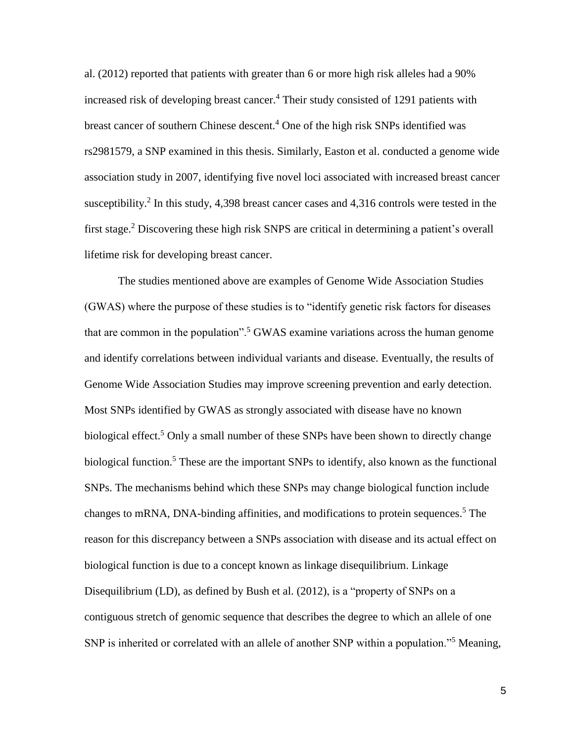al. (2012) reported that patients with greater than 6 or more high risk alleles had a 90% increased risk of developing breast cancer.<sup>4</sup> Their study consisted of 1291 patients with breast cancer of southern Chinese descent.<sup>4</sup> One of the high risk SNPs identified was rs2981579, a SNP examined in this thesis. Similarly, Easton et al. conducted a genome wide association study in 2007, identifying five novel loci associated with increased breast cancer susceptibility.<sup>2</sup> In this study, 4,398 breast cancer cases and 4,316 controls were tested in the first stage.<sup>2</sup> Discovering these high risk SNPS are critical in determining a patient's overall lifetime risk for developing breast cancer.

The studies mentioned above are examples of Genome Wide Association Studies (GWAS) where the purpose of these studies is to "identify genetic risk factors for diseases that are common in the population".<sup>5</sup> GWAS examine variations across the human genome and identify correlations between individual variants and disease. Eventually, the results of Genome Wide Association Studies may improve screening prevention and early detection. Most SNPs identified by GWAS as strongly associated with disease have no known biological effect.<sup>5</sup> Only a small number of these SNPs have been shown to directly change biological function.<sup>5</sup> These are the important SNPs to identify, also known as the functional SNPs. The mechanisms behind which these SNPs may change biological function include changes to mRNA, DNA-binding affinities, and modifications to protein sequences. <sup>5</sup> The reason for this discrepancy between a SNPs association with disease and its actual effect on biological function is due to a concept known as linkage disequilibrium. Linkage Disequilibrium (LD), as defined by Bush et al. (2012), is a "property of SNPs on a contiguous stretch of genomic sequence that describes the degree to which an allele of one SNP is inherited or correlated with an allele of another SNP within a population."<sup>5</sup> Meaning,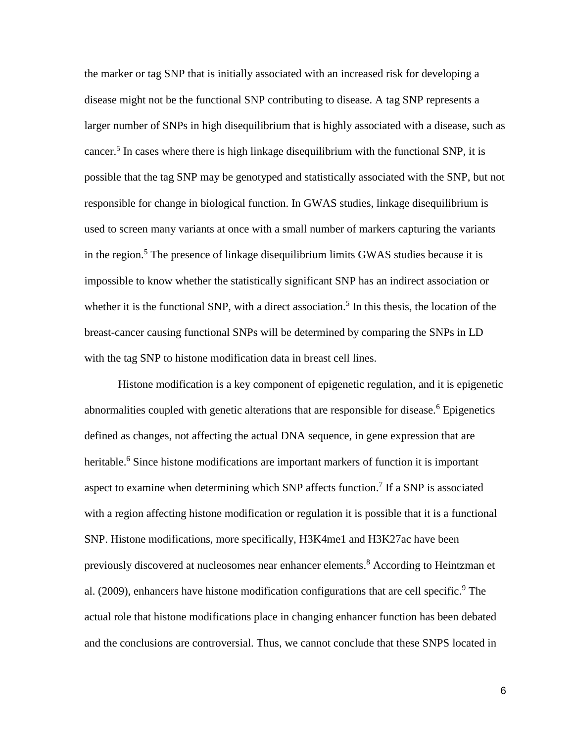the marker or tag SNP that is initially associated with an increased risk for developing a disease might not be the functional SNP contributing to disease. A tag SNP represents a larger number of SNPs in high disequilibrium that is highly associated with a disease, such as cancer.<sup>5</sup> In cases where there is high linkage disequilibrium with the functional SNP, it is possible that the tag SNP may be genotyped and statistically associated with the SNP, but not responsible for change in biological function. In GWAS studies, linkage disequilibrium is used to screen many variants at once with a small number of markers capturing the variants in the region.<sup>5</sup> The presence of linkage disequilibrium limits GWAS studies because it is impossible to know whether the statistically significant SNP has an indirect association or whether it is the functional SNP, with a direct association.<sup>5</sup> In this thesis, the location of the breast-cancer causing functional SNPs will be determined by comparing the SNPs in LD with the tag SNP to histone modification data in breast cell lines.

Histone modification is a key component of epigenetic regulation, and it is epigenetic abnormalities coupled with genetic alterations that are responsible for disease.<sup>6</sup> Epigenetics defined as changes, not affecting the actual DNA sequence, in gene expression that are heritable.<sup>6</sup> Since histone modifications are important markers of function it is important aspect to examine when determining which SNP affects function.<sup>7</sup> If a SNP is associated with a region affecting histone modification or regulation it is possible that it is a functional SNP. Histone modifications, more specifically, H3K4me1 and H3K27ac have been previously discovered at nucleosomes near enhancer elements. <sup>8</sup> According to Heintzman et al. (2009), enhancers have histone modification configurations that are cell specific.<sup>9</sup> The actual role that histone modifications place in changing enhancer function has been debated and the conclusions are controversial. Thus, we cannot conclude that these SNPS located in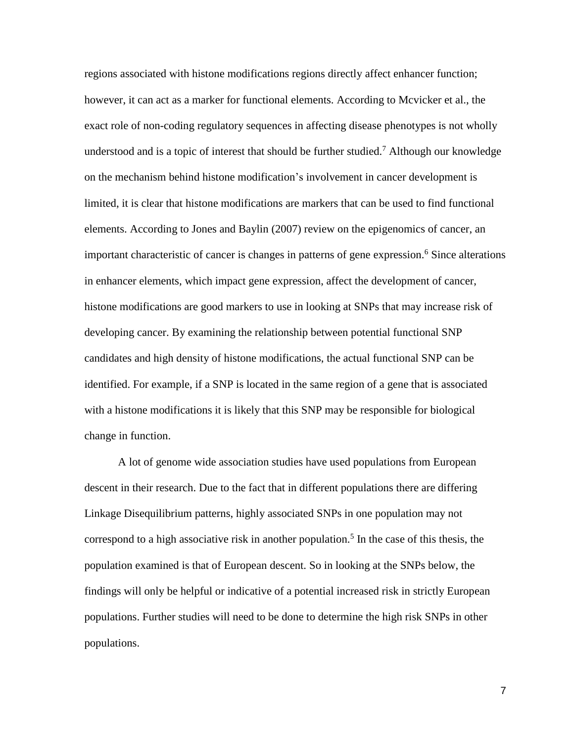regions associated with histone modifications regions directly affect enhancer function; however, it can act as a marker for functional elements. According to Mcvicker et al., the exact role of non-coding regulatory sequences in affecting disease phenotypes is not wholly understood and is a topic of interest that should be further studied.<sup>7</sup> Although our knowledge on the mechanism behind histone modification's involvement in cancer development is limited, it is clear that histone modifications are markers that can be used to find functional elements. According to Jones and Baylin (2007) review on the epigenomics of cancer, an important characteristic of cancer is changes in patterns of gene expression.<sup>6</sup> Since alterations in enhancer elements, which impact gene expression, affect the development of cancer, histone modifications are good markers to use in looking at SNPs that may increase risk of developing cancer. By examining the relationship between potential functional SNP candidates and high density of histone modifications, the actual functional SNP can be identified. For example, if a SNP is located in the same region of a gene that is associated with a histone modifications it is likely that this SNP may be responsible for biological change in function.

A lot of genome wide association studies have used populations from European descent in their research. Due to the fact that in different populations there are differing Linkage Disequilibrium patterns, highly associated SNPs in one population may not correspond to a high associative risk in another population.<sup>5</sup> In the case of this thesis, the population examined is that of European descent. So in looking at the SNPs below, the findings will only be helpful or indicative of a potential increased risk in strictly European populations. Further studies will need to be done to determine the high risk SNPs in other populations.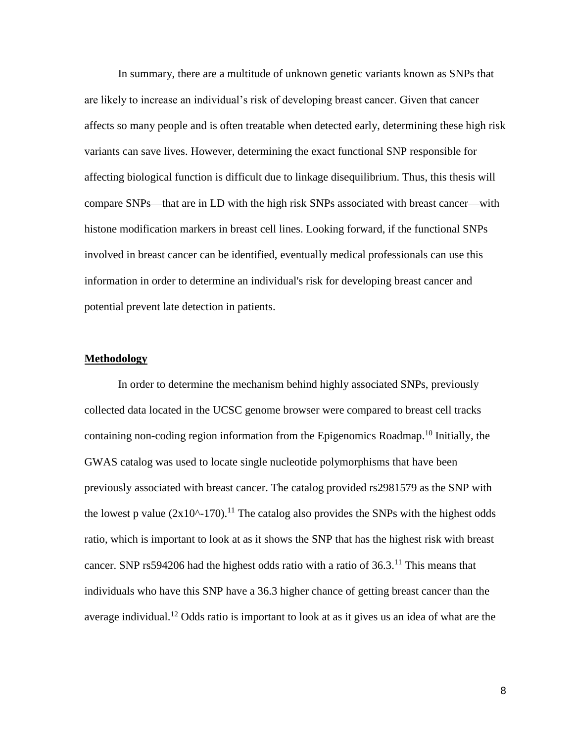In summary, there are a multitude of unknown genetic variants known as SNPs that are likely to increase an individual's risk of developing breast cancer. Given that cancer affects so many people and is often treatable when detected early, determining these high risk variants can save lives. However, determining the exact functional SNP responsible for affecting biological function is difficult due to linkage disequilibrium. Thus, this thesis will compare SNPs—that are in LD with the high risk SNPs associated with breast cancer—with histone modification markers in breast cell lines. Looking forward, if the functional SNPs involved in breast cancer can be identified, eventually medical professionals can use this information in order to determine an individual's risk for developing breast cancer and potential prevent late detection in patients.

#### **Methodology**

In order to determine the mechanism behind highly associated SNPs, previously collected data located in the UCSC genome browser were compared to breast cell tracks containing non-coding region information from the Epigenomics Roadmap. <sup>10</sup> Initially, the GWAS catalog was used to locate single nucleotide polymorphisms that have been previously associated with breast cancer. The catalog provided rs2981579 as the SNP with the lowest p value  $(2x10^{\circ}-170)$ .<sup>11</sup> The catalog also provides the SNPs with the highest odds ratio, which is important to look at as it shows the SNP that has the highest risk with breast cancer. SNP rs594206 had the highest odds ratio with a ratio of  $36.3$ <sup>11</sup>. This means that individuals who have this SNP have a 36.3 higher chance of getting breast cancer than the average individual.<sup>12</sup> Odds ratio is important to look at as it gives us an idea of what are the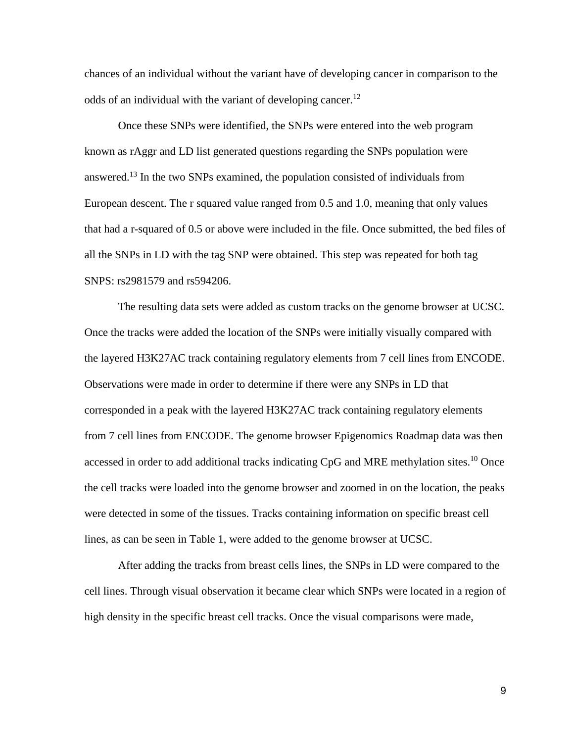chances of an individual without the variant have of developing cancer in comparison to the odds of an individual with the variant of developing cancer.<sup>12</sup>

Once these SNPs were identified, the SNPs were entered into the web program known as rAggr and LD list generated questions regarding the SNPs population were answered.<sup>13</sup> In the two SNPs examined, the population consisted of individuals from European descent. The r squared value ranged from 0.5 and 1.0, meaning that only values that had a r-squared of 0.5 or above were included in the file. Once submitted, the bed files of all the SNPs in LD with the tag SNP were obtained. This step was repeated for both tag SNPS: rs2981579 and rs594206.

The resulting data sets were added as custom tracks on the genome browser at UCSC. Once the tracks were added the location of the SNPs were initially visually compared with the layered H3K27AC track containing regulatory elements from 7 cell lines from ENCODE. Observations were made in order to determine if there were any SNPs in LD that corresponded in a peak with the layered H3K27AC track containing regulatory elements from 7 cell lines from ENCODE. The genome browser Epigenomics Roadmap data was then accessed in order to add additional tracks indicating  $CpG$  and MRE methylation sites.<sup>10</sup> Once the cell tracks were loaded into the genome browser and zoomed in on the location, the peaks were detected in some of the tissues. Tracks containing information on specific breast cell lines, as can be seen in Table 1, were added to the genome browser at UCSC.

After adding the tracks from breast cells lines, the SNPs in LD were compared to the cell lines. Through visual observation it became clear which SNPs were located in a region of high density in the specific breast cell tracks. Once the visual comparisons were made,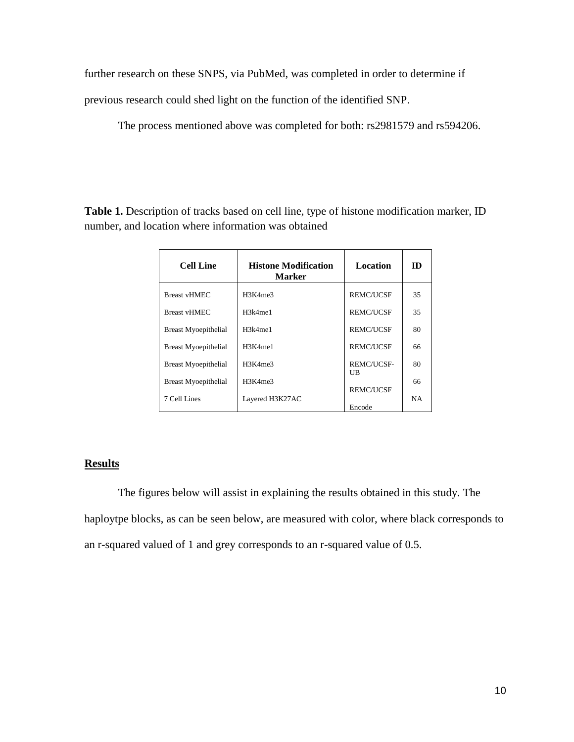further research on these SNPS, via PubMed, was completed in order to determine if

previous research could shed light on the function of the identified SNP.

The process mentioned above was completed for both: rs2981579 and rs594206.

**Table 1.** Description of tracks based on cell line, type of histone modification marker, ID number, and location where information was obtained

| <b>Cell Line</b>            | <b>Histone Modification</b><br>Marker | Location         | m         |
|-----------------------------|---------------------------------------|------------------|-----------|
| <b>Breast vHMEC</b>         | H3K4me3                               | <b>REMC/UCSE</b> | 35        |
| <b>Breast vHMEC</b>         | H3k4me1                               | <b>REMC/UCSE</b> | 35        |
| <b>Breast Myoepithelial</b> | H3k4me1                               | <b>REMC/UCSE</b> | 80        |
| <b>Breast Myoepithelial</b> | H3K4me1                               | <b>REMC/UCSE</b> | 66        |
| <b>Breast Myoepithelial</b> | H3K4me3                               | REMC/UCSE-       | 80        |
| <b>Breast Myoepithelial</b> | H3K4me3                               | UB               | 66        |
| 7 Cell Lines                | Layered H3K27AC                       | <b>REMC/UCSE</b> | <b>NA</b> |
|                             |                                       | Encode           |           |

## **Results**

The figures below will assist in explaining the results obtained in this study. The haploytpe blocks, as can be seen below, are measured with color, where black corresponds to an r-squared valued of 1 and grey corresponds to an r-squared value of 0.5.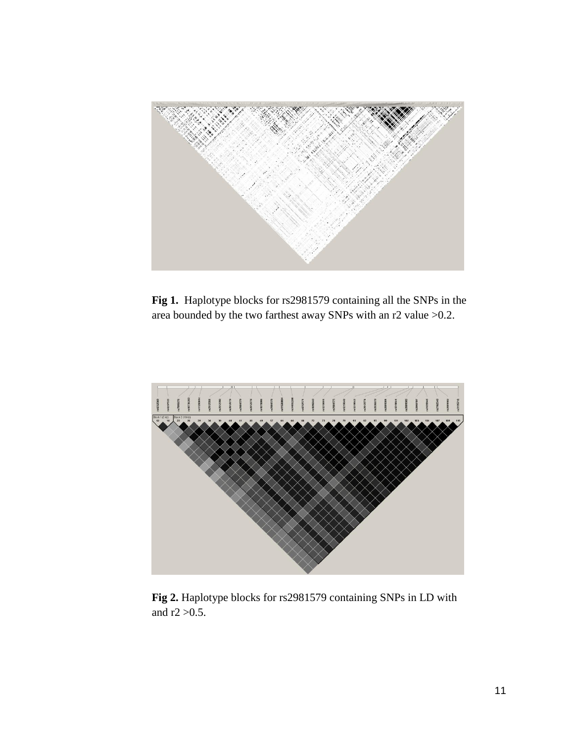

**Fig 1.** Haplotype blocks for rs2981579 containing all the SNPs in the area bounded by the two farthest away SNPs with an r2 value >0.2.



**Fig 2.** Haplotype blocks for rs2981579 containing SNPs in LD with and  $r2 > 0.5$ .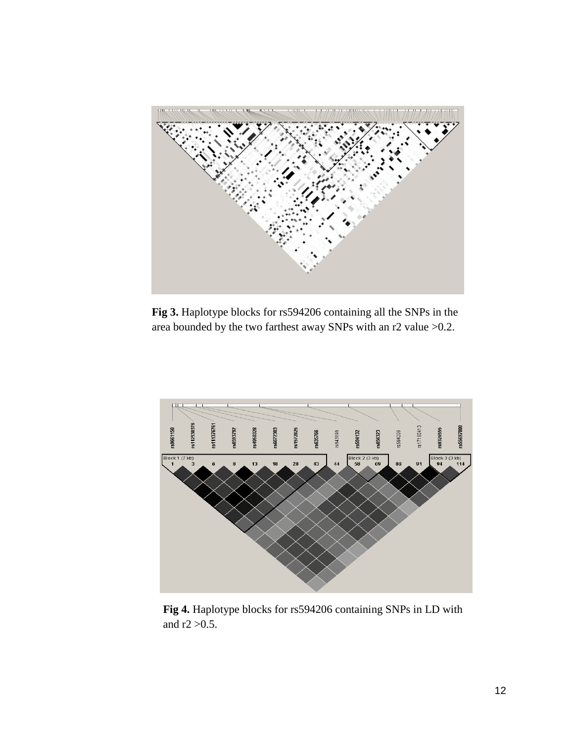

**Fig 3.** Haplotype blocks for rs594206 containing all the SNPs in the area bounded by the two farthest away SNPs with an r2 value >0.2.



 **Fig 4.** Haplotype blocks for rs594206 containing SNPs in LD with and  $r2 > 0.5$ .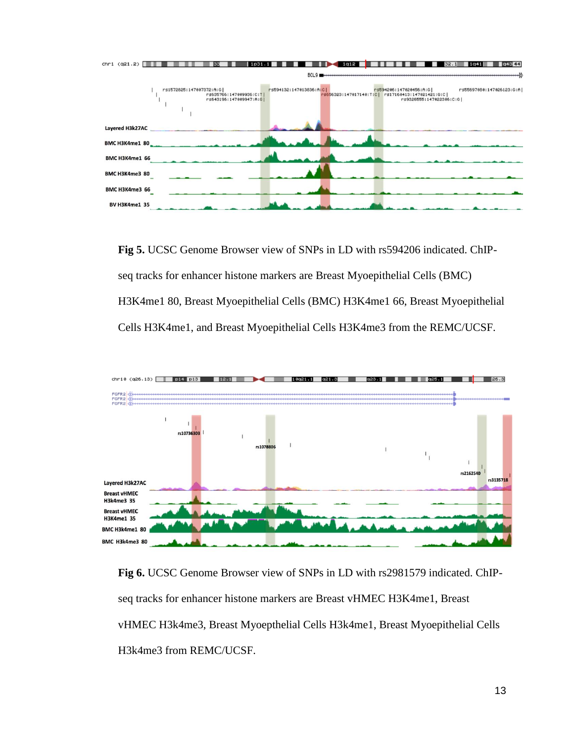

**Fig 5.** UCSC Genome Browser view of SNPs in LD with rs594206 indicated. ChIPseq tracks for enhancer histone markers are Breast Myoepithelial Cells (BMC) H3K4me1 80, Breast Myoepithelial Cells (BMC) H3K4me1 66, Breast Myoepithelial Cells H3K4me1, and Breast Myoepithelial Cells H3K4me3 from the REMC/UCSF.



**Fig 6.** UCSC Genome Browser view of SNPs in LD with rs2981579 indicated. ChIPseq tracks for enhancer histone markers are Breast vHMEC H3K4me1, Breast vHMEC H3k4me3, Breast Myoepthelial Cells H3k4me1, Breast Myoepithelial Cells H3k4me3 from REMC/UCSF.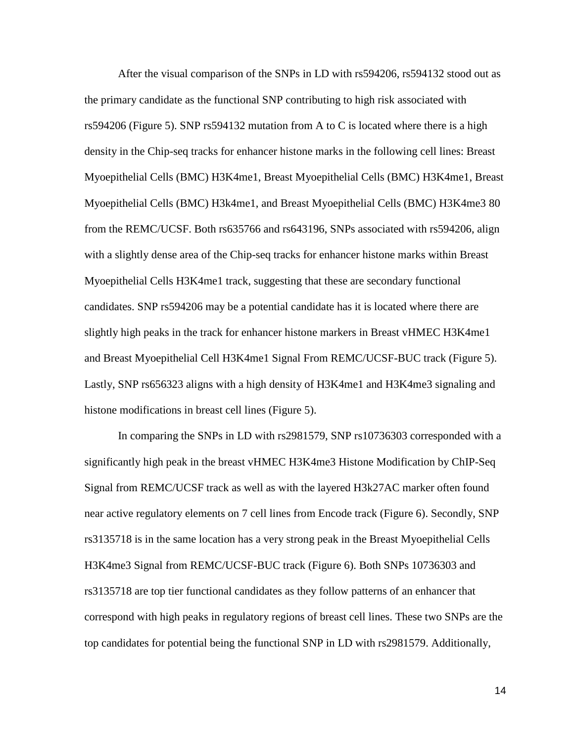After the visual comparison of the SNPs in LD with rs594206, rs594132 stood out as the primary candidate as the functional SNP contributing to high risk associated with rs594206 (Figure 5). SNP rs594132 mutation from A to C is located where there is a high density in the Chip-seq tracks for enhancer histone marks in the following cell lines: Breast Myoepithelial Cells (BMC) H3K4me1, Breast Myoepithelial Cells (BMC) H3K4me1, Breast Myoepithelial Cells (BMC) H3k4me1, and Breast Myoepithelial Cells (BMC) H3K4me3 80 from the REMC/UCSF. Both rs635766 and rs643196, SNPs associated with rs594206, align with a slightly dense area of the Chip-seq tracks for enhancer histone marks within Breast Myoepithelial Cells H3K4me1 track, suggesting that these are secondary functional candidates. SNP rs594206 may be a potential candidate has it is located where there are slightly high peaks in the track for enhancer histone markers in Breast vHMEC H3K4me1 and Breast Myoepithelial Cell H3K4me1 Signal From REMC/UCSF-BUC track (Figure 5). Lastly, SNP rs656323 aligns with a high density of H3K4me1 and H3K4me3 signaling and histone modifications in breast cell lines (Figure 5).

In comparing the SNPs in LD with rs2981579, SNP rs10736303 corresponded with a significantly high peak in the breast vHMEC H3K4me3 Histone Modification by ChIP-Seq Signal from REMC/UCSF track as well as with the layered H3k27AC marker often found near active regulatory elements on 7 cell lines from Encode track (Figure 6). Secondly, SNP rs3135718 is in the same location has a very strong peak in the Breast Myoepithelial Cells H3K4me3 Signal from REMC/UCSF-BUC track (Figure 6). Both SNPs 10736303 and rs3135718 are top tier functional candidates as they follow patterns of an enhancer that correspond with high peaks in regulatory regions of breast cell lines. These two SNPs are the top candidates for potential being the functional SNP in LD with rs2981579. Additionally,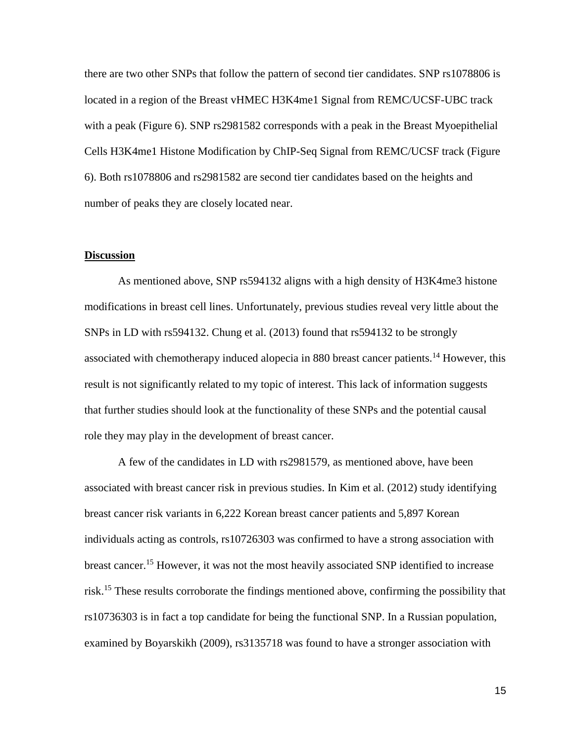there are two other SNPs that follow the pattern of second tier candidates. SNP rs1078806 is located in a region of the Breast vHMEC H3K4me1 Signal from REMC/UCSF-UBC track with a peak (Figure 6). SNP rs2981582 corresponds with a peak in the Breast Myoepithelial Cells H3K4me1 Histone Modification by ChIP-Seq Signal from REMC/UCSF track (Figure 6). Both rs1078806 and rs2981582 are second tier candidates based on the heights and number of peaks they are closely located near.

#### **Discussion**

As mentioned above, SNP rs594132 aligns with a high density of H3K4me3 histone modifications in breast cell lines. Unfortunately, previous studies reveal very little about the SNPs in LD with rs594132. Chung et al. (2013) found that rs594132 to be strongly associated with chemotherapy induced alopecia in 880 breast cancer patients.<sup>14</sup> However, this result is not significantly related to my topic of interest. This lack of information suggests that further studies should look at the functionality of these SNPs and the potential causal role they may play in the development of breast cancer.

A few of the candidates in LD with rs2981579, as mentioned above, have been associated with breast cancer risk in previous studies. In Kim et al. (2012) study identifying breast cancer risk variants in 6,222 Korean breast cancer patients and 5,897 Korean individuals acting as controls, rs10726303 was confirmed to have a strong association with breast cancer.<sup>15</sup> However, it was not the most heavily associated SNP identified to increase risk.<sup>15</sup> These results corroborate the findings mentioned above, confirming the possibility that rs10736303 is in fact a top candidate for being the functional SNP. In a Russian population, examined by Boyarskikh (2009), rs3135718 was found to have a stronger association with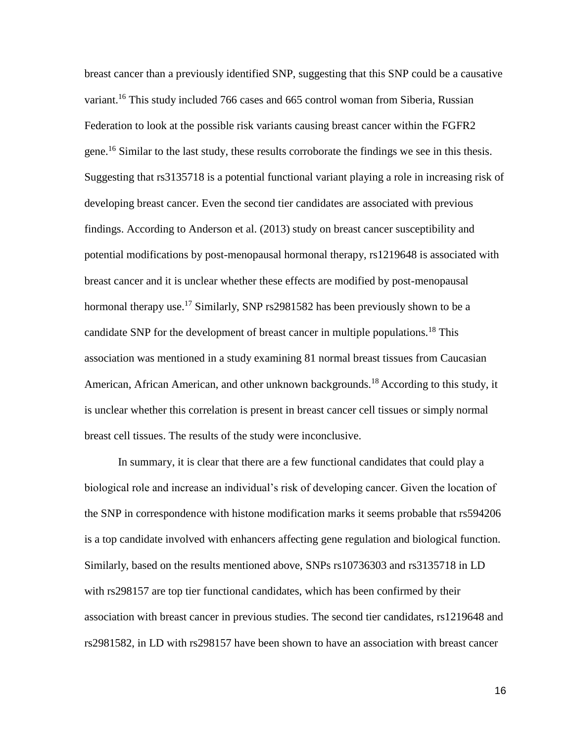breast cancer than a previously identified SNP, suggesting that this SNP could be a causative variant.<sup>16</sup> This study included 766 cases and 665 control woman from Siberia, Russian Federation to look at the possible risk variants causing breast cancer within the FGFR2 gene.<sup>16</sup> Similar to the last study, these results corroborate the findings we see in this thesis. Suggesting that rs3135718 is a potential functional variant playing a role in increasing risk of developing breast cancer. Even the second tier candidates are associated with previous findings. According to Anderson et al. (2013) study on breast cancer susceptibility and potential modifications by post-menopausal hormonal therapy, rs1219648 is associated with breast cancer and it is unclear whether these effects are modified by post-menopausal hormonal therapy use.<sup>17</sup> Similarly, SNP rs2981582 has been previously shown to be a candidate SNP for the development of breast cancer in multiple populations.<sup>18</sup> This association was mentioned in a study examining 81 normal breast tissues from Caucasian American, African American, and other unknown backgrounds.<sup>18</sup> According to this study, it is unclear whether this correlation is present in breast cancer cell tissues or simply normal breast cell tissues. The results of the study were inconclusive.

In summary, it is clear that there are a few functional candidates that could play a biological role and increase an individual's risk of developing cancer. Given the location of the SNP in correspondence with histone modification marks it seems probable that rs594206 is a top candidate involved with enhancers affecting gene regulation and biological function. Similarly, based on the results mentioned above, SNPs rs10736303 and rs3135718 in LD with rs298157 are top tier functional candidates, which has been confirmed by their association with breast cancer in previous studies. The second tier candidates, rs1219648 and rs2981582, in LD with rs298157 have been shown to have an association with breast cancer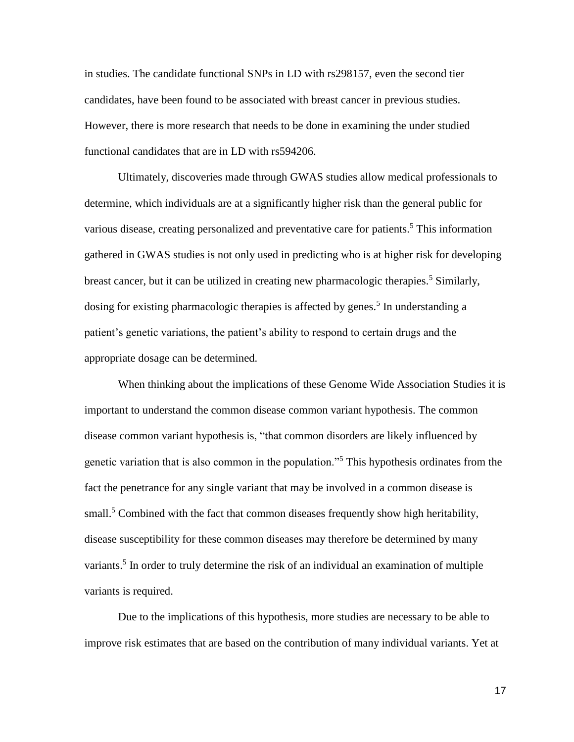in studies. The candidate functional SNPs in LD with rs298157, even the second tier candidates, have been found to be associated with breast cancer in previous studies. However, there is more research that needs to be done in examining the under studied functional candidates that are in LD with rs594206.

Ultimately, discoveries made through GWAS studies allow medical professionals to determine, which individuals are at a significantly higher risk than the general public for various disease, creating personalized and preventative care for patients.<sup>5</sup> This information gathered in GWAS studies is not only used in predicting who is at higher risk for developing breast cancer, but it can be utilized in creating new pharmacologic therapies.<sup>5</sup> Similarly, dosing for existing pharmacologic therapies is affected by genes.<sup>5</sup> In understanding a patient's genetic variations, the patient's ability to respond to certain drugs and the appropriate dosage can be determined.

When thinking about the implications of these Genome Wide Association Studies it is important to understand the common disease common variant hypothesis. The common disease common variant hypothesis is, "that common disorders are likely influenced by genetic variation that is also common in the population."<sup>5</sup> This hypothesis ordinates from the fact the penetrance for any single variant that may be involved in a common disease is small.<sup>5</sup> Combined with the fact that common diseases frequently show high heritability, disease susceptibility for these common diseases may therefore be determined by many variants.<sup>5</sup> In order to truly determine the risk of an individual an examination of multiple variants is required.

Due to the implications of this hypothesis, more studies are necessary to be able to improve risk estimates that are based on the contribution of many individual variants. Yet at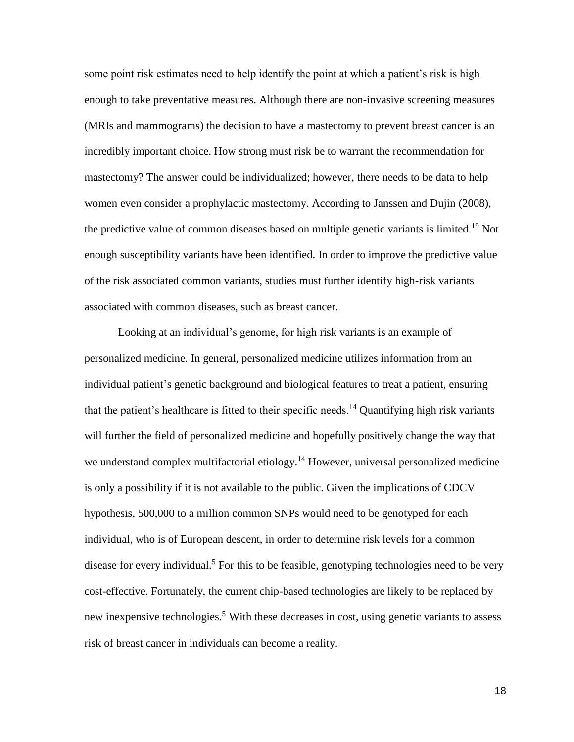some point risk estimates need to help identify the point at which a patient's risk is high enough to take preventative measures. Although there are non-invasive screening measures (MRIs and mammograms) the decision to have a mastectomy to prevent breast cancer is an incredibly important choice. How strong must risk be to warrant the recommendation for mastectomy? The answer could be individualized; however, there needs to be data to help women even consider a prophylactic mastectomy. According to Janssen and Dujin (2008), the predictive value of common diseases based on multiple genetic variants is limited.<sup>19</sup> Not enough susceptibility variants have been identified. In order to improve the predictive value of the risk associated common variants, studies must further identify high-risk variants associated with common diseases, such as breast cancer.

Looking at an individual's genome, for high risk variants is an example of personalized medicine. In general, personalized medicine utilizes information from an individual patient's genetic background and biological features to treat a patient, ensuring that the patient's healthcare is fitted to their specific needs.<sup>14</sup> Quantifying high risk variants will further the field of personalized medicine and hopefully positively change the way that we understand complex multifactorial etiology.<sup>14</sup> However, universal personalized medicine is only a possibility if it is not available to the public. Given the implications of CDCV hypothesis, 500,000 to a million common SNPs would need to be genotyped for each individual, who is of European descent, in order to determine risk levels for a common disease for every individual.<sup>5</sup> For this to be feasible, genotyping technologies need to be very cost-effective. Fortunately, the current chip-based technologies are likely to be replaced by new inexpensive technologies.<sup>5</sup> With these decreases in cost, using genetic variants to assess risk of breast cancer in individuals can become a reality.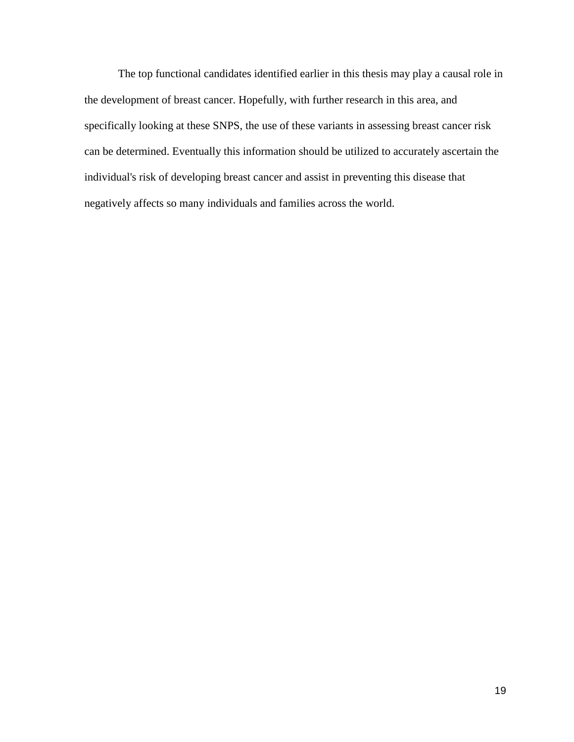The top functional candidates identified earlier in this thesis may play a causal role in the development of breast cancer. Hopefully, with further research in this area, and specifically looking at these SNPS, the use of these variants in assessing breast cancer risk can be determined. Eventually this information should be utilized to accurately ascertain the individual's risk of developing breast cancer and assist in preventing this disease that negatively affects so many individuals and families across the world.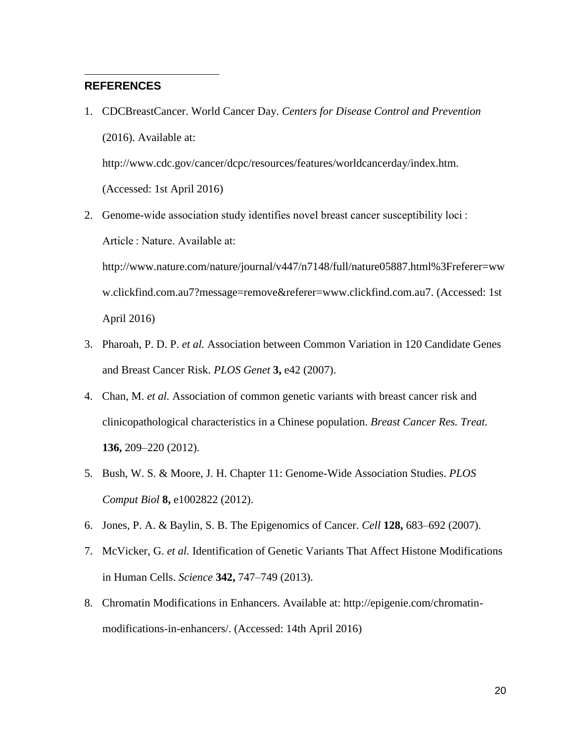## **REFERENCES**

1. CDCBreastCancer. World Cancer Day. *Centers for Disease Control and Prevention* (2016). Available at:

http://www.cdc.gov/cancer/dcpc/resources/features/worldcancerday/index.htm. (Accessed: 1st April 2016)

2. Genome-wide association study identifies novel breast cancer susceptibility loci : Article : Nature. Available at:

http://www.nature.com/nature/journal/v447/n7148/full/nature05887.html%3Freferer=ww w.clickfind.com.au7?message=remove&referer=www.clickfind.com.au7. (Accessed: 1st April 2016)

- 3. Pharoah, P. D. P. *et al.* Association between Common Variation in 120 Candidate Genes and Breast Cancer Risk. *PLOS Genet* **3,** e42 (2007).
- 4. Chan, M. *et al.* Association of common genetic variants with breast cancer risk and clinicopathological characteristics in a Chinese population. *Breast Cancer Res. Treat.* **136,** 209–220 (2012).
- 5. Bush, W. S. & Moore, J. H. Chapter 11: Genome-Wide Association Studies. *PLOS Comput Biol* **8,** e1002822 (2012).
- 6. Jones, P. A. & Baylin, S. B. The Epigenomics of Cancer. *Cell* **128,** 683–692 (2007).
- 7. McVicker, G. *et al.* Identification of Genetic Variants That Affect Histone Modifications in Human Cells. *Science* **342,** 747–749 (2013).
- 8. Chromatin Modifications in Enhancers. Available at: http://epigenie.com/chromatinmodifications-in-enhancers/. (Accessed: 14th April 2016)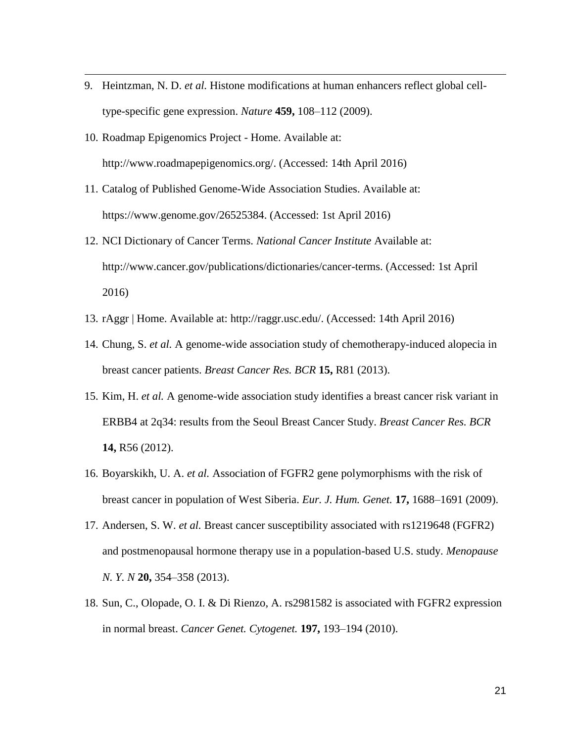- 9. Heintzman, N. D. *et al.* Histone modifications at human enhancers reflect global celltype-specific gene expression. *Nature* **459,** 108–112 (2009).
- 10. Roadmap Epigenomics Project Home. Available at: http://www.roadmapepigenomics.org/. (Accessed: 14th April 2016)

- 11. Catalog of Published Genome-Wide Association Studies. Available at: https://www.genome.gov/26525384. (Accessed: 1st April 2016)
- 12. NCI Dictionary of Cancer Terms. *National Cancer Institute* Available at: http://www.cancer.gov/publications/dictionaries/cancer-terms. (Accessed: 1st April 2016)
- 13. rAggr | Home. Available at: http://raggr.usc.edu/. (Accessed: 14th April 2016)
- 14. Chung, S. *et al.* A genome-wide association study of chemotherapy-induced alopecia in breast cancer patients. *Breast Cancer Res. BCR* **15,** R81 (2013).
- 15. Kim, H. *et al.* A genome-wide association study identifies a breast cancer risk variant in ERBB4 at 2q34: results from the Seoul Breast Cancer Study. *Breast Cancer Res. BCR* **14,** R56 (2012).
- 16. Boyarskikh, U. A. *et al.* Association of FGFR2 gene polymorphisms with the risk of breast cancer in population of West Siberia. *Eur. J. Hum. Genet.* **17,** 1688–1691 (2009).
- 17. Andersen, S. W. *et al.* Breast cancer susceptibility associated with rs1219648 (FGFR2) and postmenopausal hormone therapy use in a population-based U.S. study. *Menopause N. Y. N* **20,** 354–358 (2013).
- 18. Sun, C., Olopade, O. I. & Di Rienzo, A. rs2981582 is associated with FGFR2 expression in normal breast. *Cancer Genet. Cytogenet.* **197,** 193–194 (2010).